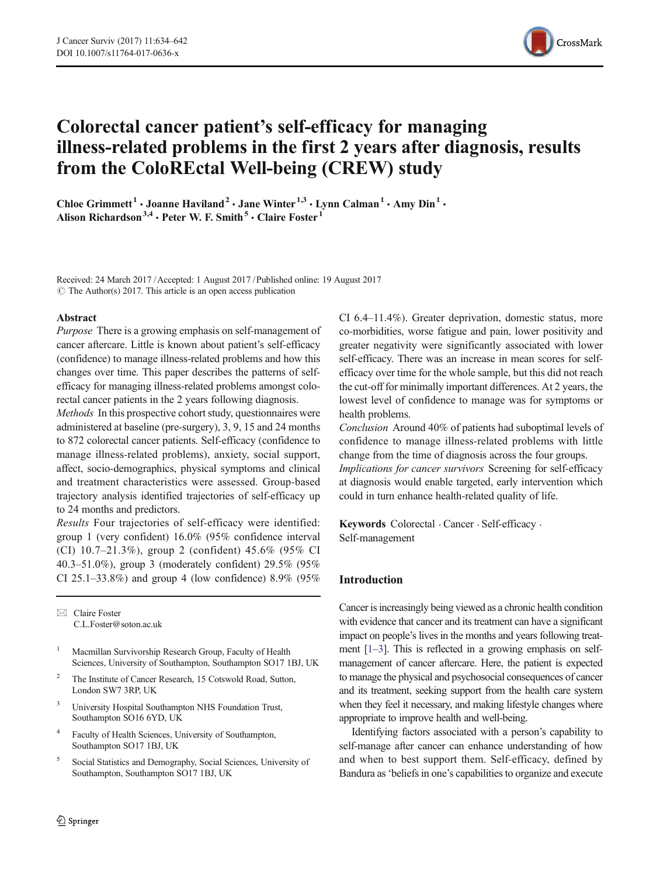

# Colorectal cancer patient's self-efficacy for managing illness-related problems in the first 2 years after diagnosis, results from the ColoREctal Well-being (CREW) study

Chloe Grimmett<sup>1</sup> • Joanne Haviland<sup>2</sup> • Jane Winter<sup>1,3</sup> • Lynn Calman<sup>1</sup> • Amy Din<sup>1</sup> • Alison Richardson<sup>3,4</sup> · Peter W. F. Smith<sup>5</sup> · Claire Foster<sup>1</sup>

Received: 24 March 2017 /Accepted: 1 August 2017 /Published online: 19 August 2017  $\circ$  The Author(s) 2017. This article is an open access publication

### Abstract

Purpose There is a growing emphasis on self-management of cancer aftercare. Little is known about patient's self-efficacy (confidence) to manage illness-related problems and how this changes over time. This paper describes the patterns of selfefficacy for managing illness-related problems amongst colorectal cancer patients in the 2 years following diagnosis.

Methods In this prospective cohort study, questionnaires were administered at baseline (pre-surgery), 3, 9, 15 and 24 months to 872 colorectal cancer patients. Self-efficacy (confidence to manage illness-related problems), anxiety, social support, affect, socio-demographics, physical symptoms and clinical and treatment characteristics were assessed. Group-based trajectory analysis identified trajectories of self-efficacy up to 24 months and predictors.

Results Four trajectories of self-efficacy were identified: group 1 (very confident) 16.0% (95% confidence interval (CI) 10.7–21.3%), group 2 (confident) 45.6% (95% CI 40.3–51.0%), group 3 (moderately confident) 29.5% (95% CI 25.1–33.8%) and group 4 (low confidence) 8.9% (95%

 $\boxtimes$  Claire Foster [C.L.Foster@soton.ac.uk](mailto:C.L.Foster@soton.ac.uk)

- <sup>1</sup> Macmillan Survivorship Research Group, Faculty of Health Sciences, University of Southampton, Southampton SO17 1BJ, UK
- <sup>2</sup> The Institute of Cancer Research, 15 Cotswold Road, Sutton, London SW7 3RP, UK
- <sup>3</sup> University Hospital Southampton NHS Foundation Trust, Southampton SO16 6YD, UK
- <sup>4</sup> Faculty of Health Sciences, University of Southampton, Southampton SO17 1BJ, UK
- <sup>5</sup> Social Statistics and Demography, Social Sciences, University of Southampton, Southampton SO17 1BJ, UK

CI 6.4–11.4%). Greater deprivation, domestic status, more co-morbidities, worse fatigue and pain, lower positivity and greater negativity were significantly associated with lower self-efficacy. There was an increase in mean scores for selfefficacy over time for the whole sample, but this did not reach the cut-off for minimally important differences. At 2 years, the lowest level of confidence to manage was for symptoms or health problems.

Conclusion Around 40% of patients had suboptimal levels of confidence to manage illness-related problems with little change from the time of diagnosis across the four groups. Implications for cancer survivors Screening for self-efficacy

at diagnosis would enable targeted, early intervention which could in turn enhance health-related quality of life.

Keywords Colorectal . Cancer . Self-efficacy . Self-management

# Introduction

Cancer is increasingly being viewed as a chronic health condition with evidence that cancer and its treatment can have a significant impact on people's lives in the months and years following treatment [[1](#page-7-0)–[3](#page-7-0)]. This is reflected in a growing emphasis on selfmanagement of cancer aftercare. Here, the patient is expected to manage the physical and psychosocial consequences of cancer and its treatment, seeking support from the health care system when they feel it necessary, and making lifestyle changes where appropriate to improve health and well-being.

Identifying factors associated with a person's capability to self-manage after cancer can enhance understanding of how and when to best support them. Self-efficacy, defined by Bandura as'beliefs in one's capabilities to organize and execute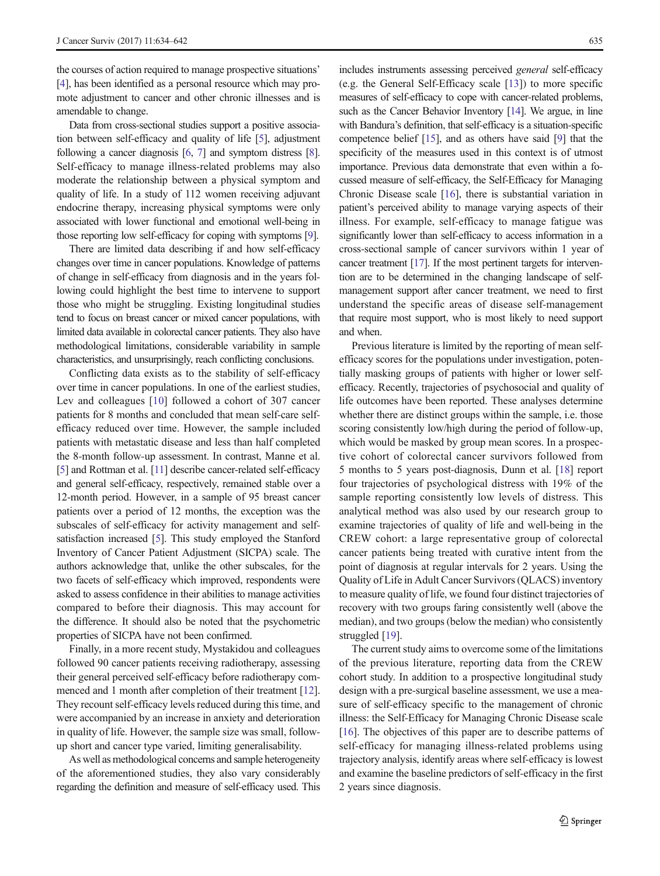the courses of action required to manage prospective situations' [\[4\]](#page-7-0), has been identified as a personal resource which may promote adjustment to cancer and other chronic illnesses and is amendable to change.

Data from cross-sectional studies support a positive association between self-efficacy and quality of life [\[5](#page-7-0)], adjustment following a cancer diagnosis [\[6](#page-7-0), [7\]](#page-7-0) and symptom distress [\[8\]](#page-7-0). Self-efficacy to manage illness-related problems may also moderate the relationship between a physical symptom and quality of life. In a study of 112 women receiving adjuvant endocrine therapy, increasing physical symptoms were only associated with lower functional and emotional well-being in those reporting low self-efficacy for coping with symptoms [\[9\]](#page-7-0).

There are limited data describing if and how self-efficacy changes over time in cancer populations. Knowledge of patterns of change in self-efficacy from diagnosis and in the years following could highlight the best time to intervene to support those who might be struggling. Existing longitudinal studies tend to focus on breast cancer or mixed cancer populations, with limited data available in colorectal cancer patients. They also have methodological limitations, considerable variability in sample characteristics, and unsurprisingly, reach conflicting conclusions.

Conflicting data exists as to the stability of self-efficacy over time in cancer populations. In one of the earliest studies, Lev and colleagues [[10](#page-7-0)] followed a cohort of 307 cancer patients for 8 months and concluded that mean self-care selfefficacy reduced over time. However, the sample included patients with metastatic disease and less than half completed the 8-month follow-up assessment. In contrast, Manne et al. [\[5\]](#page-7-0) and Rottman et al. [\[11](#page-7-0)] describe cancer-related self-efficacy and general self-efficacy, respectively, remained stable over a 12-month period. However, in a sample of 95 breast cancer patients over a period of 12 months, the exception was the subscales of self-efficacy for activity management and selfsatisfaction increased [\[5](#page-7-0)]. This study employed the Stanford Inventory of Cancer Patient Adjustment (SICPA) scale. The authors acknowledge that, unlike the other subscales, for the two facets of self-efficacy which improved, respondents were asked to assess confidence in their abilities to manage activities compared to before their diagnosis. This may account for the difference. It should also be noted that the psychometric properties of SICPA have not been confirmed.

Finally, in a more recent study, Mystakidou and colleagues followed 90 cancer patients receiving radiotherapy, assessing their general perceived self-efficacy before radiotherapy commenced and 1 month after completion of their treatment [[12\]](#page-7-0). They recount self-efficacy levels reduced during this time, and were accompanied by an increase in anxiety and deterioration in quality of life. However, the sample size was small, followup short and cancer type varied, limiting generalisability.

As well as methodological concerns and sample heterogeneity of the aforementioned studies, they also vary considerably regarding the definition and measure of self-efficacy used. This includes instruments assessing perceived general self-efficacy (e.g. the General Self-Efficacy scale [[13\]](#page-7-0)) to more specific measures of self-efficacy to cope with cancer-related problems, such as the Cancer Behavior Inventory [[14\]](#page-7-0). We argue, in line with Bandura's definition, that self-efficacy is a situation-specific competence belief [[15](#page-7-0)], and as others have said [\[9\]](#page-7-0) that the specificity of the measures used in this context is of utmost importance. Previous data demonstrate that even within a focussed measure of self-efficacy, the Self-Efficacy for Managing Chronic Disease scale [\[16\]](#page-8-0), there is substantial variation in patient's perceived ability to manage varying aspects of their illness. For example, self-efficacy to manage fatigue was significantly lower than self-efficacy to access information in a cross-sectional sample of cancer survivors within 1 year of cancer treatment [\[17\]](#page-8-0). If the most pertinent targets for intervention are to be determined in the changing landscape of selfmanagement support after cancer treatment, we need to first understand the specific areas of disease self-management that require most support, who is most likely to need support and when.

Previous literature is limited by the reporting of mean selfefficacy scores for the populations under investigation, potentially masking groups of patients with higher or lower selfefficacy. Recently, trajectories of psychosocial and quality of life outcomes have been reported. These analyses determine whether there are distinct groups within the sample, i.e. those scoring consistently low/high during the period of follow-up, which would be masked by group mean scores. In a prospective cohort of colorectal cancer survivors followed from 5 months to 5 years post-diagnosis, Dunn et al. [[18](#page-8-0)] report four trajectories of psychological distress with 19% of the sample reporting consistently low levels of distress. This analytical method was also used by our research group to examine trajectories of quality of life and well-being in the CREW cohort: a large representative group of colorectal cancer patients being treated with curative intent from the point of diagnosis at regular intervals for 2 years. Using the Quality of Life in Adult Cancer Survivors (QLACS) inventory to measure quality of life, we found four distinct trajectories of recovery with two groups faring consistently well (above the median), and two groups (below the median) who consistently struggled [[19\]](#page-8-0).

The current study aims to overcome some of the limitations of the previous literature, reporting data from the CREW cohort study. In addition to a prospective longitudinal study design with a pre-surgical baseline assessment, we use a measure of self-efficacy specific to the management of chronic illness: the Self-Efficacy for Managing Chronic Disease scale [\[16](#page-8-0)]. The objectives of this paper are to describe patterns of self-efficacy for managing illness-related problems using trajectory analysis, identify areas where self-efficacy is lowest and examine the baseline predictors of self-efficacy in the first 2 years since diagnosis.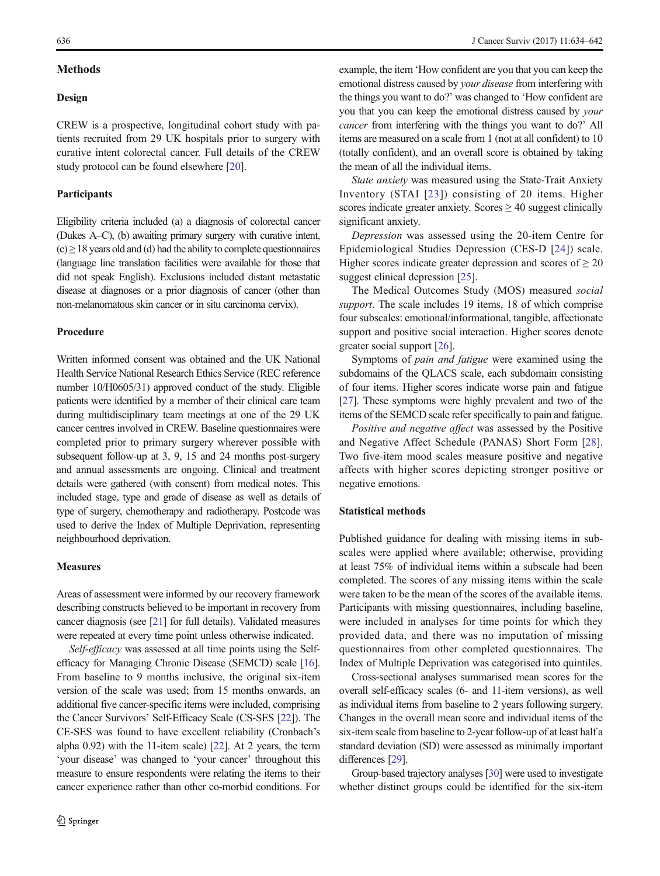# **Methods**

#### Design

CREW is a prospective, longitudinal cohort study with patients recruited from 29 UK hospitals prior to surgery with curative intent colorectal cancer. Full details of the CREW study protocol can be found elsewhere [\[20](#page-8-0)].

#### Participants

Eligibility criteria included (a) a diagnosis of colorectal cancer (Dukes A–C), (b) awaiting primary surgery with curative intent,  $(c) \geq 18$  years old and (d) had the ability to complete questionnaires (language line translation facilities were available for those that did not speak English). Exclusions included distant metastatic disease at diagnoses or a prior diagnosis of cancer (other than non-melanomatous skin cancer or in situ carcinoma cervix).

### Procedure

Written informed consent was obtained and the UK National Health Service National Research Ethics Service (REC reference number 10/H0605/31) approved conduct of the study. Eligible patients were identified by a member of their clinical care team during multidisciplinary team meetings at one of the 29 UK cancer centres involved in CREW. Baseline questionnaires were completed prior to primary surgery wherever possible with subsequent follow-up at 3, 9, 15 and 24 months post-surgery and annual assessments are ongoing. Clinical and treatment details were gathered (with consent) from medical notes. This included stage, type and grade of disease as well as details of type of surgery, chemotherapy and radiotherapy. Postcode was used to derive the Index of Multiple Deprivation, representing neighbourhood deprivation.

# **Measures**

Areas of assessment were informed by our recovery framework describing constructs believed to be important in recovery from cancer diagnosis (see [\[21](#page-8-0)] for full details). Validated measures were repeated at every time point unless otherwise indicated.

Self-efficacy was assessed at all time points using the Selfefficacy for Managing Chronic Disease (SEMCD) scale [\[16\]](#page-8-0). From baseline to 9 months inclusive, the original six-item version of the scale was used; from 15 months onwards, an additional five cancer-specific items were included, comprising the Cancer Survivors' Self-Efficacy Scale (CS-SES [\[22\]](#page-8-0)). The CE-SES was found to have excellent reliability (Cronbach's alpha 0.92) with the 11-item scale) [[22](#page-8-0)]. At 2 years, the term 'your disease' was changed to 'your cancer' throughout this measure to ensure respondents were relating the items to their cancer experience rather than other co-morbid conditions. For

example, the item 'How confident are you that you can keep the emotional distress caused by your disease from interfering with the things you want to do?' was changed to 'How confident are you that you can keep the emotional distress caused by your cancer from interfering with the things you want to do?' All items are measured on a scale from 1 (not at all confident) to 10 (totally confident), and an overall score is obtained by taking the mean of all the individual items.

State anxiety was measured using the State-Trait Anxiety Inventory (STAI [[23](#page-8-0)]) consisting of 20 items. Higher scores indicate greater anxiety. Scores  $\geq 40$  suggest clinically significant anxiety.

Depression was assessed using the 20-item Centre for Epidemiological Studies Depression (CES-D [[24\]](#page-8-0)) scale. Higher scores indicate greater depression and scores of  $\geq 20$ suggest clinical depression [[25\]](#page-8-0).

The Medical Outcomes Study (MOS) measured social support. The scale includes 19 items, 18 of which comprise four subscales: emotional/informational, tangible, affectionate support and positive social interaction. Higher scores denote greater social support [\[26](#page-8-0)].

Symptoms of pain and fatigue were examined using the subdomains of the QLACS scale, each subdomain consisting of four items. Higher scores indicate worse pain and fatigue [\[27\]](#page-8-0). These symptoms were highly prevalent and two of the items of the SEMCD scale refer specifically to pain and fatigue.

Positive and negative affect was assessed by the Positive and Negative Affect Schedule (PANAS) Short Form [[28\]](#page-8-0). Two five-item mood scales measure positive and negative affects with higher scores depicting stronger positive or negative emotions.

#### Statistical methods

Published guidance for dealing with missing items in subscales were applied where available; otherwise, providing at least 75% of individual items within a subscale had been completed. The scores of any missing items within the scale were taken to be the mean of the scores of the available items. Participants with missing questionnaires, including baseline, were included in analyses for time points for which they provided data, and there was no imputation of missing questionnaires from other completed questionnaires. The Index of Multiple Deprivation was categorised into quintiles.

Cross-sectional analyses summarised mean scores for the overall self-efficacy scales (6- and 11-item versions), as well as individual items from baseline to 2 years following surgery. Changes in the overall mean score and individual items of the six-item scale from baseline to 2-year follow-up of at least half a standard deviation (SD) were assessed as minimally important differences [\[29\]](#page-8-0).

Group-based trajectory analyses [\[30](#page-8-0)] were used to investigate whether distinct groups could be identified for the six-item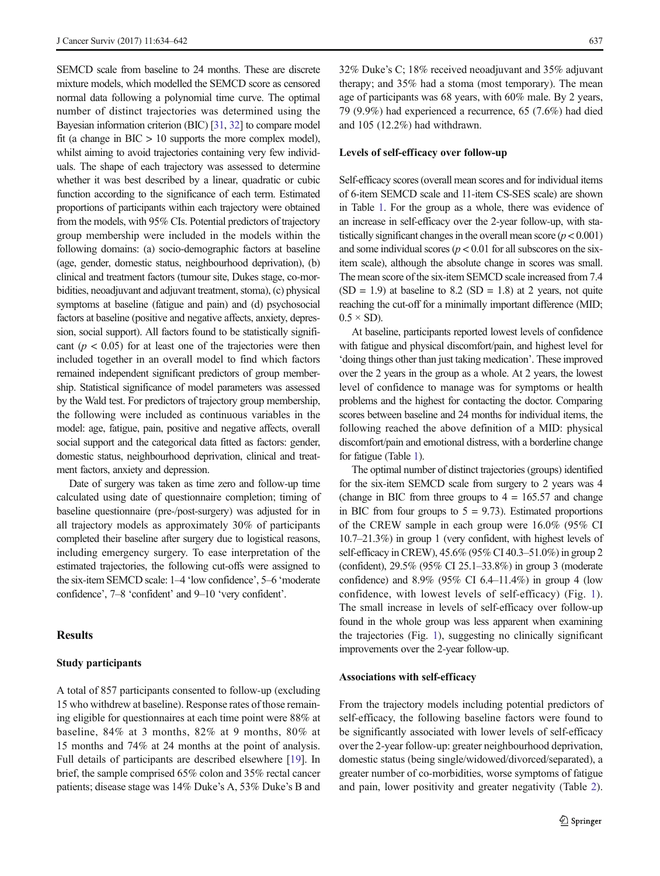SEMCD scale from baseline to 24 months. These are discrete mixture models, which modelled the SEMCD score as censored normal data following a polynomial time curve. The optimal number of distinct trajectories was determined using the Bayesian information criterion (BIC) [\[31](#page-8-0), [32](#page-8-0)] to compare model fit (a change in  $BIC > 10$  supports the more complex model), whilst aiming to avoid trajectories containing very few individuals. The shape of each trajectory was assessed to determine whether it was best described by a linear, quadratic or cubic function according to the significance of each term. Estimated proportions of participants within each trajectory were obtained from the models, with 95% CIs. Potential predictors of trajectory group membership were included in the models within the following domains: (a) socio-demographic factors at baseline (age, gender, domestic status, neighbourhood deprivation), (b) clinical and treatment factors (tumour site, Dukes stage, co-morbidities, neoadjuvant and adjuvant treatment, stoma), (c) physical symptoms at baseline (fatigue and pain) and (d) psychosocial factors at baseline (positive and negative affects, anxiety, depression, social support). All factors found to be statistically significant ( $p < 0.05$ ) for at least one of the trajectories were then included together in an overall model to find which factors remained independent significant predictors of group membership. Statistical significance of model parameters was assessed by the Wald test. For predictors of trajectory group membership, the following were included as continuous variables in the model: age, fatigue, pain, positive and negative affects, overall social support and the categorical data fitted as factors: gender, domestic status, neighbourhood deprivation, clinical and treatment factors, anxiety and depression.

Date of surgery was taken as time zero and follow-up time calculated using date of questionnaire completion; timing of baseline questionnaire (pre-/post-surgery) was adjusted for in all trajectory models as approximately 30% of participants completed their baseline after surgery due to logistical reasons, including emergency surgery. To ease interpretation of the estimated trajectories, the following cut-offs were assigned to the six-item SEMCD scale: 1–4 'low confidence', 5–6 'moderate confidence', 7–8 'confident' and 9–10 'very confident'.

# Results

## Study participants

A total of 857 participants consented to follow-up (excluding 15 who withdrew at baseline). Response rates of those remaining eligible for questionnaires at each time point were 88% at baseline, 84% at 3 months, 82% at 9 months, 80% at 15 months and 74% at 24 months at the point of analysis. Full details of participants are described elsewhere [[19\]](#page-8-0). In brief, the sample comprised 65% colon and 35% rectal cancer patients; disease stage was 14% Duke's A, 53% Duke's B and

32% Duke's C; 18% received neoadjuvant and 35% adjuvant therapy; and 35% had a stoma (most temporary). The mean age of participants was 68 years, with 60% male. By 2 years, 79 (9.9%) had experienced a recurrence, 65 (7.6%) had died and 105 (12.2%) had withdrawn.

#### Levels of self-efficacy over follow-up

Self-efficacy scores (overall mean scores and for individual items of 6-item SEMCD scale and 11-item CS-SES scale) are shown in Table [1](#page-4-0). For the group as a whole, there was evidence of an increase in self-efficacy over the 2-year follow-up, with statistically significant changes in the overall mean score  $(p < 0.001)$ and some individual scores ( $p < 0.01$  for all subscores on the sixitem scale), although the absolute change in scores was small. The mean score of the six-item SEMCD scale increased from 7.4  $(SD = 1.9)$  at baseline to 8.2  $(SD = 1.8)$  at 2 years, not quite reaching the cut-off for a minimally important difference (MID;  $0.5 \times SD$ ).

At baseline, participants reported lowest levels of confidence with fatigue and physical discomfort/pain, and highest level for 'doing things other than just taking medication'. These improved over the 2 years in the group as a whole. At 2 years, the lowest level of confidence to manage was for symptoms or health problems and the highest for contacting the doctor. Comparing scores between baseline and 24 months for individual items, the following reached the above definition of a MID: physical discomfort/pain and emotional distress, with a borderline change for fatigue (Table [1\)](#page-4-0).

The optimal number of distinct trajectories (groups) identified for the six-item SEMCD scale from surgery to 2 years was 4 (change in BIC from three groups to  $4 = 165.57$  and change in BIC from four groups to  $5 = 9.73$ ). Estimated proportions of the CREW sample in each group were 16.0% (95% CI 10.7–21.3%) in group 1 (very confident, with highest levels of self-efficacy in CREW), 45.6% (95% CI 40.3–51.0%) in group 2 (confident), 29.5% (95% CI 25.1–33.8%) in group 3 (moderate confidence) and 8.9% (95% CI 6.4–11.4%) in group 4 (low confidence, with lowest levels of self-efficacy) (Fig. [1](#page-4-0)). The small increase in levels of self-efficacy over follow-up found in the whole group was less apparent when examining the trajectories (Fig. [1](#page-4-0)), suggesting no clinically significant improvements over the 2-year follow-up.

#### Associations with self-efficacy

From the trajectory models including potential predictors of self-efficacy, the following baseline factors were found to be significantly associated with lower levels of self-efficacy over the 2-year follow-up: greater neighbourhood deprivation, domestic status (being single/widowed/divorced/separated), a greater number of co-morbidities, worse symptoms of fatigue and pain, lower positivity and greater negativity (Table [2\)](#page-5-0).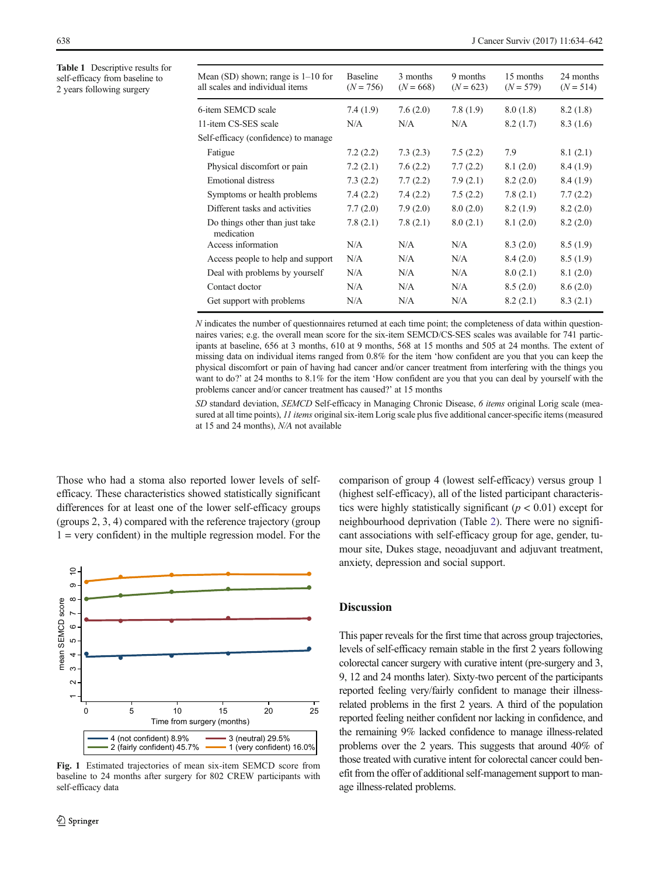<span id="page-4-0"></span>Table 1 Descriptive results for self-efficacy from baseline to 2 years following surgery

| Mean $(SD)$ shown; range is $1-10$ for<br>all scales and individual items | <b>Baseline</b><br>$(N = 756)$ | 3 months<br>$(N = 668)$ | 9 months<br>$(N = 623)$ | 15 months<br>$(N = 579)$ | 24 months<br>$(N = 514)$ |
|---------------------------------------------------------------------------|--------------------------------|-------------------------|-------------------------|--------------------------|--------------------------|
| 6-item SEMCD scale                                                        | 7.4(1.9)                       | 7.6(2.0)                | 7.8(1.9)                | 8.0(1.8)                 | 8.2(1.8)                 |
| 11-item CS-SES scale                                                      | N/A                            | N/A                     | N/A                     | 8.2(1.7)                 | 8.3 (1.6)                |
| Self-efficacy (confidence) to manage                                      |                                |                         |                         |                          |                          |
| Fatigue                                                                   | 7.2(2.2)                       | 7.3(2.3)                | 7.5(2.2)                | 7.9                      | 8.1(2.1)                 |
| Physical discomfort or pain                                               | 7.2(2.1)                       | 7.6(2.2)                | 7.7(2.2)                | 8.1(2.0)                 | 8.4(1.9)                 |
| Emotional distress                                                        | 7.3(2.2)                       | 7.7(2.2)                | 7.9(2.1)                | 8.2(2.0)                 | 8.4(1.9)                 |
| Symptoms or health problems                                               | 7.4(2.2)                       | 7.4(2.2)                | 7.5(2.2)                | 7.8(2.1)                 | 7.7(2.2)                 |
| Different tasks and activities                                            | 7.7(2.0)                       | 7.9(2.0)                | 8.0(2.0)                | 8.2(1.9)                 | 8.2(2.0)                 |
| Do things other than just take<br>medication                              | 7.8(2.1)                       | 7.8(2.1)                | 8.0(2.1)                | 8.1(2.0)                 | 8.2(2.0)                 |
| Access information                                                        | N/A                            | N/A                     | N/A                     | 8.3(2.0)                 | 8.5(1.9)                 |
| Access people to help and support                                         | N/A                            | N/A                     | N/A                     | 8.4(2.0)                 | 8.5(1.9)                 |
| Deal with problems by yourself                                            | N/A                            | N/A                     | N/A                     | 8.0(2.1)                 | 8.1(2.0)                 |
| Contact doctor                                                            | N/A                            | N/A                     | N/A                     | 8.5(2.0)                 | 8.6(2.0)                 |
| Get support with problems                                                 | N/A                            | N/A                     | N/A                     | 8.2(2.1)                 | 8.3(2.1)                 |
|                                                                           |                                |                         |                         |                          |                          |

N indicates the number of questionnaires returned at each time point; the completeness of data within questionnaires varies; e.g. the overall mean score for the six-item SEMCD/CS-SES scales was available for 741 participants at baseline, 656 at 3 months, 610 at 9 months, 568 at 15 months and 505 at 24 months. The extent of missing data on individual items ranged from 0.8% for the item 'how confident are you that you can keep the physical discomfort or pain of having had cancer and/or cancer treatment from interfering with the things you want to do?' at 24 months to 8.1% for the item 'How confident are you that you can deal by yourself with the problems cancer and/or cancer treatment has caused?' at 15 months

SD standard deviation, SEMCD Self-efficacy in Managing Chronic Disease, 6 items original Lorig scale (measured at all time points), 11 items original six-item Lorig scale plus five additional cancer-specific items (measured at 15 and 24 months), N/A not available

Those who had a stoma also reported lower levels of selfefficacy. These characteristics showed statistically significant differences for at least one of the lower self-efficacy groups (groups 2, 3, 4) compared with the reference trajectory (group  $1 = \text{very confident}$  in the multiple regression model. For the



Fig. 1 Estimated trajectories of mean six-item SEMCD score from baseline to 24 months after surgery for 802 CREW participants with self-efficacy data

comparison of group 4 (lowest self-efficacy) versus group 1 (highest self-efficacy), all of the listed participant characteristics were highly statistically significant ( $p < 0.01$ ) except for neighbourhood deprivation (Table [2\)](#page-5-0). There were no significant associations with self-efficacy group for age, gender, tumour site, Dukes stage, neoadjuvant and adjuvant treatment, anxiety, depression and social support.

## **Discussion**

This paper reveals for the first time that across group trajectories, levels of self-efficacy remain stable in the first 2 years following colorectal cancer surgery with curative intent (pre-surgery and 3, 9, 12 and 24 months later). Sixty-two percent of the participants reported feeling very/fairly confident to manage their illnessrelated problems in the first 2 years. A third of the population reported feeling neither confident nor lacking in confidence, and the remaining 9% lacked confidence to manage illness-related problems over the 2 years. This suggests that around 40% of those treated with curative intent for colorectal cancer could benefit from the offer of additional self-management support to manage illness-related problems.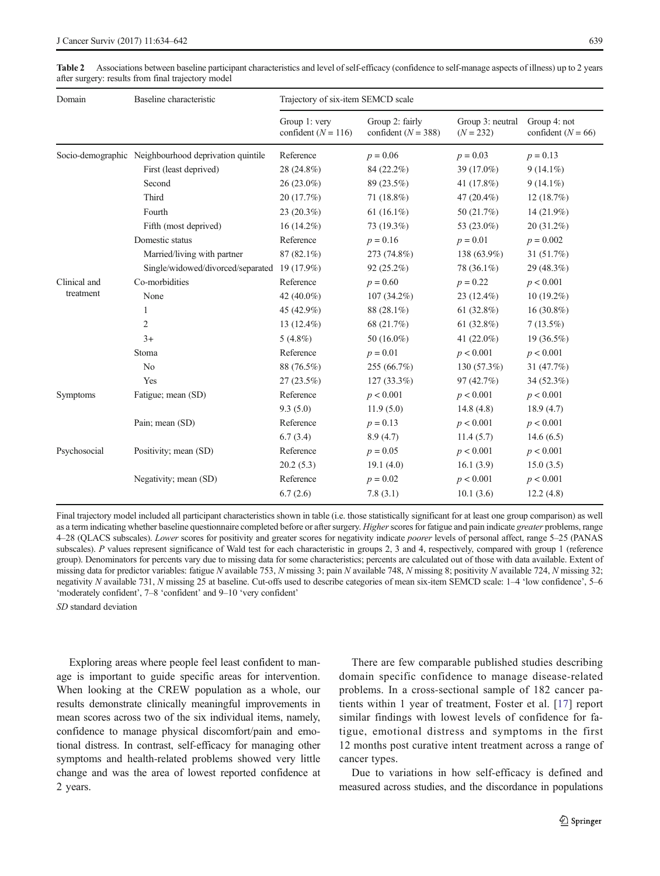| Domain                    | Baseline characteristic                              | Trajectory of six-item SEMCD scale       |                                            |                                 |                                        |  |  |
|---------------------------|------------------------------------------------------|------------------------------------------|--------------------------------------------|---------------------------------|----------------------------------------|--|--|
|                           |                                                      | Group 1: very<br>confident ( $N = 116$ ) | Group 2: fairly<br>confident ( $N = 388$ ) | Group 3: neutral<br>$(N = 232)$ | Group 4: not<br>confident ( $N = 66$ ) |  |  |
|                           | Socio-demographic Neighbourhood deprivation quintile | Reference                                | $p = 0.06$                                 | $p = 0.03$                      | $p = 0.13$                             |  |  |
|                           | First (least deprived)                               | 28 (24.8%)                               | 84 (22.2%)                                 | 39 (17.0%)                      | $9(14.1\%)$                            |  |  |
|                           | Second                                               | 26 (23.0%)                               | 89 (23.5%)                                 | 41 (17.8%)                      | $9(14.1\%)$                            |  |  |
|                           | Third                                                | 20(17.7%)                                | 71 (18.8%)                                 | 47 $(20.4\%)$                   | 12(18.7%)                              |  |  |
|                           | Fourth                                               | $23(20.3\%)$                             | 61 $(16.1\%)$                              | 50 (21.7%)                      | 14 (21.9%)                             |  |  |
|                           | Fifth (most deprived)                                | $16(14.2\%)$                             | 73 (19.3%)                                 | 53 (23.0%)                      | $20(31.2\%)$                           |  |  |
|                           | Domestic status                                      | Reference                                | $p = 0.16$                                 | $p = 0.01$                      | $p = 0.002$                            |  |  |
|                           | Married/living with partner                          | $87(82.1\%)$                             | 273 (74.8%)                                | 138 (63.9%)                     | 31(51.7%)                              |  |  |
|                           | Single/widowed/divorced/separated                    | 19 (17.9%)                               | 92(25.2%)                                  | 78 (36.1%)                      | 29 (48.3%)                             |  |  |
| Clinical and<br>treatment | Co-morbidities                                       | Reference                                | $p = 0.60$                                 | $p = 0.22$                      | p < 0.001                              |  |  |
|                           | None                                                 | 42 (40.0%)                               | $107(34.2\%)$                              | 23 (12.4%)                      | $10(19.2\%)$                           |  |  |
|                           | 1                                                    | 45 (42.9%)                               | 88 (28.1%)                                 | 61 $(32.8\%)$                   | $16(30.8\%)$                           |  |  |
|                           | $\overline{2}$                                       | 13 (12.4%)                               | 68 (21.7%)                                 | 61 $(32.8\%)$                   | $7(13.5\%)$                            |  |  |
|                           | $3+$                                                 | 5 $(4.8\%)$                              | 50 (16.0%)                                 | 41 (22.0%)                      | $19(36.5\%)$                           |  |  |
|                           | Stoma                                                | Reference                                | $p = 0.01$                                 | p < 0.001                       | p < 0.001                              |  |  |
|                           | N <sub>0</sub>                                       | 88 (76.5%)                               | 255 (66.7%)                                | 130 (57.3%)                     | 31 (47.7%)                             |  |  |
|                           | Yes                                                  | $27(23.5\%)$                             | $127(33.3\%)$                              | 97 (42.7%)                      | 34 (52.3%)                             |  |  |
| Symptoms                  | Fatigue; mean (SD)                                   | Reference                                | p < 0.001                                  | p < 0.001                       | p < 0.001                              |  |  |
|                           |                                                      | 9.3(5.0)                                 | 11.9(5.0)                                  | 14.8(4.8)                       | 18.9(4.7)                              |  |  |
|                           | Pain; mean (SD)                                      | Reference                                | $p = 0.13$                                 | p < 0.001                       | p < 0.001                              |  |  |
|                           |                                                      | 6.7(3.4)                                 | 8.9(4.7)                                   | 11.4(5.7)                       | 14.6(6.5)                              |  |  |
| Psychosocial              | Positivity; mean (SD)                                | Reference                                | $p = 0.05$                                 | p < 0.001                       | p < 0.001                              |  |  |
|                           |                                                      | 20.2(5.3)                                | 19.1(4.0)                                  | 16.1(3.9)                       | 15.0(3.5)                              |  |  |
|                           | Negativity; mean (SD)                                | Reference                                | $p = 0.02$                                 | p < 0.001                       | p < 0.001                              |  |  |
|                           |                                                      | 6.7(2.6)                                 | 7.8(3.1)                                   | 10.1(3.6)                       | 12.2(4.8)                              |  |  |

<span id="page-5-0"></span>Table 2 Associations between baseline participant characteristics and level of self-efficacy (confidence to self-manage aspects of illness) up to 2 years after surgery: results from final trajectory model

Final trajectory model included all participant characteristics shown in table (i.e. those statistically significant for at least one group comparison) as well as a term indicating whether baseline questionnaire completed before or after surgery. Higher scores for fatigue and pain indicate greater problems, range 4–28 (QLACS subscales). Lower scores for positivity and greater scores for negativity indicate poorer levels of personal affect, range 5–25 (PANAS subscales). P values represent significance of Wald test for each characteristic in groups 2, 3 and 4, respectively, compared with group 1 (reference group). Denominators for percents vary due to missing data for some characteristics; percents are calculated out of those with data available. Extent of missing data for predictor variables: fatigue N available 753, N missing 3; pain N available 748, N missing 8; positivity N available 724, N missing 32; negativity N available 731, N missing 25 at baseline. Cut-offs used to describe categories of mean six-item SEMCD scale: 1–4 'low confidence', 5–6 'moderately confident', 7–8 'confident' and 9–10 'very confident'

SD standard deviation

Exploring areas where people feel least confident to manage is important to guide specific areas for intervention. When looking at the CREW population as a whole, our results demonstrate clinically meaningful improvements in mean scores across two of the six individual items, namely, confidence to manage physical discomfort/pain and emotional distress. In contrast, self-efficacy for managing other symptoms and health-related problems showed very little change and was the area of lowest reported confidence at 2 years.

There are few comparable published studies describing domain specific confidence to manage disease-related problems. In a cross-sectional sample of 182 cancer patients within 1 year of treatment, Foster et al. [\[17](#page-8-0)] report similar findings with lowest levels of confidence for fatigue, emotional distress and symptoms in the first 12 months post curative intent treatment across a range of cancer types.

Due to variations in how self-efficacy is defined and measured across studies, and the discordance in populations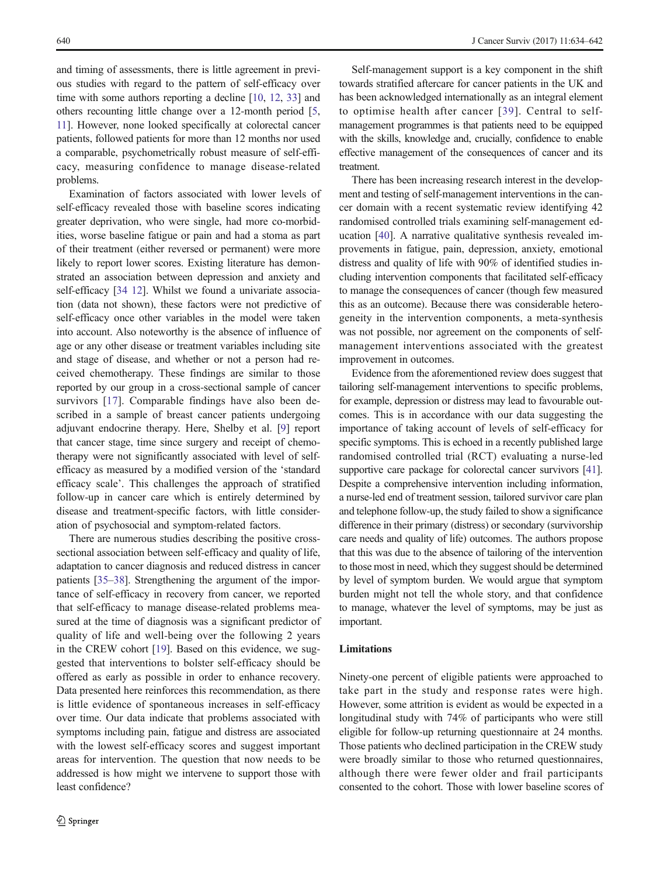and timing of assessments, there is little agreement in previous studies with regard to the pattern of self-efficacy over time with some authors reporting a decline [[10,](#page-7-0) [12](#page-7-0), [33\]](#page-8-0) and others recounting little change over a 12-month period [[5,](#page-7-0) [11](#page-7-0)]. However, none looked specifically at colorectal cancer patients, followed patients for more than 12 months nor used a comparable, psychometrically robust measure of self-efficacy, measuring confidence to manage disease-related problems.

Examination of factors associated with lower levels of self-efficacy revealed those with baseline scores indicating greater deprivation, who were single, had more co-morbidities, worse baseline fatigue or pain and had a stoma as part of their treatment (either reversed or permanent) were more likely to report lower scores. Existing literature has demonstrated an association between depression and anxiety and self-efficacy [\[34](#page-8-0) [12\]](#page-7-0). Whilst we found a univariate association (data not shown), these factors were not predictive of self-efficacy once other variables in the model were taken into account. Also noteworthy is the absence of influence of age or any other disease or treatment variables including site and stage of disease, and whether or not a person had received chemotherapy. These findings are similar to those reported by our group in a cross-sectional sample of cancer survivors [\[17](#page-8-0)]. Comparable findings have also been described in a sample of breast cancer patients undergoing adjuvant endocrine therapy. Here, Shelby et al. [\[9](#page-7-0)] report that cancer stage, time since surgery and receipt of chemotherapy were not significantly associated with level of selfefficacy as measured by a modified version of the 'standard efficacy scale'. This challenges the approach of stratified follow-up in cancer care which is entirely determined by disease and treatment-specific factors, with little consideration of psychosocial and symptom-related factors.

There are numerous studies describing the positive crosssectional association between self-efficacy and quality of life, adaptation to cancer diagnosis and reduced distress in cancer patients [[35](#page-8-0)–[38](#page-8-0)]. Strengthening the argument of the importance of self-efficacy in recovery from cancer, we reported that self-efficacy to manage disease-related problems measured at the time of diagnosis was a significant predictor of quality of life and well-being over the following 2 years in the CREW cohort [\[19](#page-8-0)]. Based on this evidence, we suggested that interventions to bolster self-efficacy should be offered as early as possible in order to enhance recovery. Data presented here reinforces this recommendation, as there is little evidence of spontaneous increases in self-efficacy over time. Our data indicate that problems associated with symptoms including pain, fatigue and distress are associated with the lowest self-efficacy scores and suggest important areas for intervention. The question that now needs to be addressed is how might we intervene to support those with least confidence?

Self-management support is a key component in the shift towards stratified aftercare for cancer patients in the UK and has been acknowledged internationally as an integral element to optimise health after cancer [[39](#page-8-0)]. Central to selfmanagement programmes is that patients need to be equipped with the skills, knowledge and, crucially, confidence to enable effective management of the consequences of cancer and its treatment.

There has been increasing research interest in the development and testing of self-management interventions in the cancer domain with a recent systematic review identifying 42 randomised controlled trials examining self-management education [[40\]](#page-8-0). A narrative qualitative synthesis revealed improvements in fatigue, pain, depression, anxiety, emotional distress and quality of life with 90% of identified studies including intervention components that facilitated self-efficacy to manage the consequences of cancer (though few measured this as an outcome). Because there was considerable heterogeneity in the intervention components, a meta-synthesis was not possible, nor agreement on the components of selfmanagement interventions associated with the greatest improvement in outcomes.

Evidence from the aforementioned review does suggest that tailoring self-management interventions to specific problems, for example, depression or distress may lead to favourable outcomes. This is in accordance with our data suggesting the importance of taking account of levels of self-efficacy for specific symptoms. This is echoed in a recently published large randomised controlled trial (RCT) evaluating a nurse-led supportive care package for colorectal cancer survivors [\[41\]](#page-8-0). Despite a comprehensive intervention including information, a nurse-led end of treatment session, tailored survivor care plan and telephone follow-up, the study failed to show a significance difference in their primary (distress) or secondary (survivorship care needs and quality of life) outcomes. The authors propose that this was due to the absence of tailoring of the intervention to those most in need, which they suggest should be determined by level of symptom burden. We would argue that symptom burden might not tell the whole story, and that confidence to manage, whatever the level of symptoms, may be just as important.

## **Limitations**

Ninety-one percent of eligible patients were approached to take part in the study and response rates were high. However, some attrition is evident as would be expected in a longitudinal study with 74% of participants who were still eligible for follow-up returning questionnaire at 24 months. Those patients who declined participation in the CREW study were broadly similar to those who returned questionnaires, although there were fewer older and frail participants consented to the cohort. Those with lower baseline scores of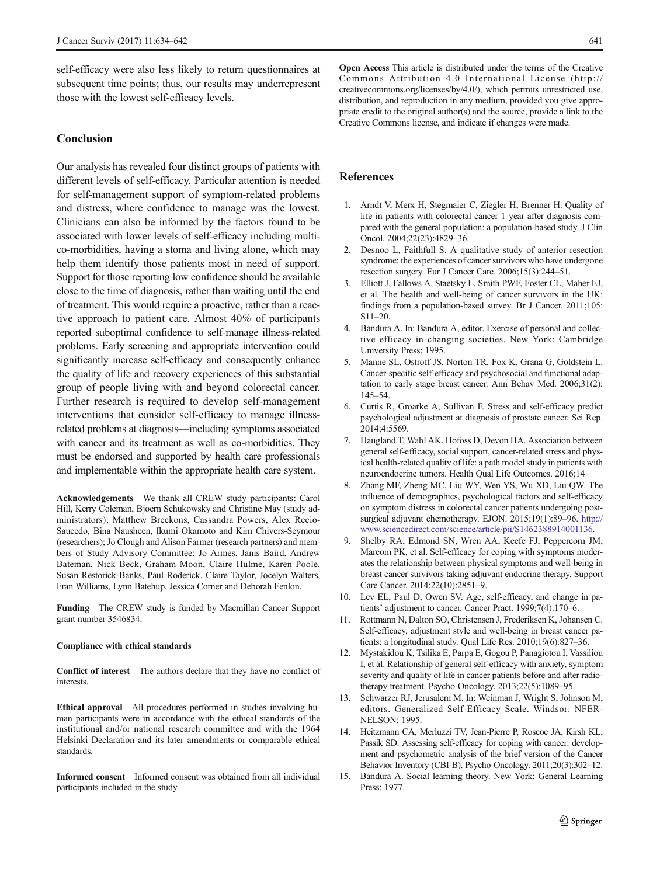<span id="page-7-0"></span>self-efficacy were also less likely to return questionnaires at subsequent time points; thus, our results may underrepresent those with the lowest self-efficacy levels.

## Conclusion

Our analysis has revealed four distinct groups of patients with different levels of self-efficacy. Particular attention is needed for self-management support of symptom-related problems and distress, where confidence to manage was the lowest. Clinicians can also be informed by the factors found to be associated with lower levels of self-efficacy including multico-morbidities, having a stoma and living alone, which may help them identify those patients most in need of support. Support for those reporting low confidence should be available close to the time of diagnosis, rather than waiting until the end of treatment. This would require a proactive, rather than a reactive approach to patient care. Almost 40% of participants reported suboptimal confidence to self-manage illness-related problems. Early screening and appropriate intervention could significantly increase self-efficacy and consequently enhance the quality of life and recovery experiences of this substantial group of people living with and beyond colorectal cancer. Further research is required to develop self-management interventions that consider self-efficacy to manage illnessrelated problems at diagnosis—including symptoms associated with cancer and its treatment as well as co-morbidities. They must be endorsed and supported by health care professionals and implementable within the appropriate health care system.

Acknowledgements We thank all CREW study participants: Carol Hill, Kerry Coleman, Bjoern Schukowsky and Christine May (study administrators); Matthew Breckons, Cassandra Powers, Alex Recio-Saucedo, Bina Nausheen, Ikumi Okamoto and Kim Chivers-Seymour (researchers); Jo Clough and Alison Farmer (research partners) and members of Study Advisory Committee: Jo Armes, Janis Baird, Andrew Bateman, Nick Beck, Graham Moon, Claire Hulme, Karen Poole, Susan Restorick-Banks, Paul Roderick, Claire Taylor, Jocelyn Walters, Fran Williams, Lynn Batehup, Jessica Corner and Deborah Fenlon.

Funding The CREW study is funded by Macmillan Cancer Support grant number 3546834.

#### Compliance with ethical standards

Conflict of interest The authors declare that they have no conflict of **interests** 

Ethical approval All procedures performed in studies involving human participants were in accordance with the ethical standards of the institutional and/or national research committee and with the 1964 Helsinki Declaration and its later amendments or comparable ethical standards.

Informed consent Informed consent was obtained from all individual participants included in the study.

Open Access This article is distributed under the terms of the Creative Commons Attribution 4.0 International License (http:// creativecommons.org/licenses/by/4.0/), which permits unrestricted use, distribution, and reproduction in any medium, provided you give appropriate credit to the original author(s) and the source, provide a link to the Creative Commons license, and indicate if changes were made.

# References

- 1. Arndt V, Merx H, Stegmaier C, Ziegler H, Brenner H. Quality of life in patients with colorectal cancer 1 year after diagnosis compared with the general population: a population-based study. J Clin Oncol. 2004;22(23):4829–36.
- 2. Desnoo L, Faithfull S. A qualitative study of anterior resection syndrome: the experiences of cancer survivors who have undergone resection surgery. Eur J Cancer Care. 2006;15(3):244–51.
- 3. Elliott J, Fallows A, Staetsky L, Smith PWF, Foster CL, Maher EJ, et al. The health and well-being of cancer survivors in the UK: findings from a population-based survey. Br J Cancer. 2011;105: S11–20.
- 4. Bandura A. In: Bandura A, editor. Exercise of personal and collective efficacy in changing societies. New York: Cambridge University Press; 1995.
- 5. Manne SL, Ostroff JS, Norton TR, Fox K, Grana G, Goldstein L. Cancer-specific self-efficacy and psychosocial and functional adaptation to early stage breast cancer. Ann Behav Med. 2006;31(2): 145–54.
- 6. Curtis R, Groarke A, Sullivan F. Stress and self-efficacy predict psychological adjustment at diagnosis of prostate cancer. Sci Rep. 2014;4:5569.
- 7. Haugland T, Wahl AK, Hofoss D, Devon HA. Association between general self-efficacy, social support, cancer-related stress and physical health-related quality of life: a path model study in patients with neuroendocrine tumors. Health Qual Life Outcomes. 2016;14
- 8. Zhang MF, Zheng MC, Liu WY, Wen YS, Wu XD, Liu QW. The influence of demographics, psychological factors and self-efficacy on symptom distress in colorectal cancer patients undergoing postsurgical adjuvant chemotherapy. EJON. 2015;19(1):89–96. [http://](http://www.sciencedirect.com/science/article/pii/S1462388914001136) [www.sciencedirect.com/science/article/pii/S1462388914001136](http://www.sciencedirect.com/science/article/pii/S1462388914001136).
- 9. Shelby RA, Edmond SN, Wren AA, Keefe FJ, Peppercorn JM, Marcom PK, et al. Self-efficacy for coping with symptoms moderates the relationship between physical symptoms and well-being in breast cancer survivors taking adjuvant endocrine therapy. Support Care Cancer. 2014;22(10):2851–9.
- 10. Lev EL, Paul D, Owen SV. Age, self-efficacy, and change in patients' adjustment to cancer. Cancer Pract. 1999;7(4):170–6.
- 11. Rottmann N, Dalton SO, Christensen J, Frederiksen K, Johansen C. Self-efficacy, adjustment style and well-being in breast cancer patients: a longitudinal study. Qual Life Res. 2010;19(6):827–36.
- 12. Mystakidou K, Tsilika E, Parpa E, Gogou P, Panagiotou I, Vassiliou I, et al. Relationship of general self-efficacy with anxiety, symptom severity and quality of life in cancer patients before and after radiotherapy treatment. Psycho-Oncology. 2013;22(5):1089–95.
- 13. Schwarzer RJ, Jerusalem M. In: Weinman J, Wright S, Johnson M, editors. Generalized Self-Efficacy Scale. Windsor: NFER-NELSON; 1995.
- 14. Heitzmann CA, Merluzzi TV, Jean-Pierre P, Roscoe JA, Kirsh KL, Passik SD. Assessing self-efficacy for coping with cancer: development and psychometric analysis of the brief version of the Cancer Behavior Inventory (CBI-B). Psycho-Oncology. 2011;20(3):302–12.
- 15. Bandura A. Social learning theory. New York: General Learning Press; 1977.